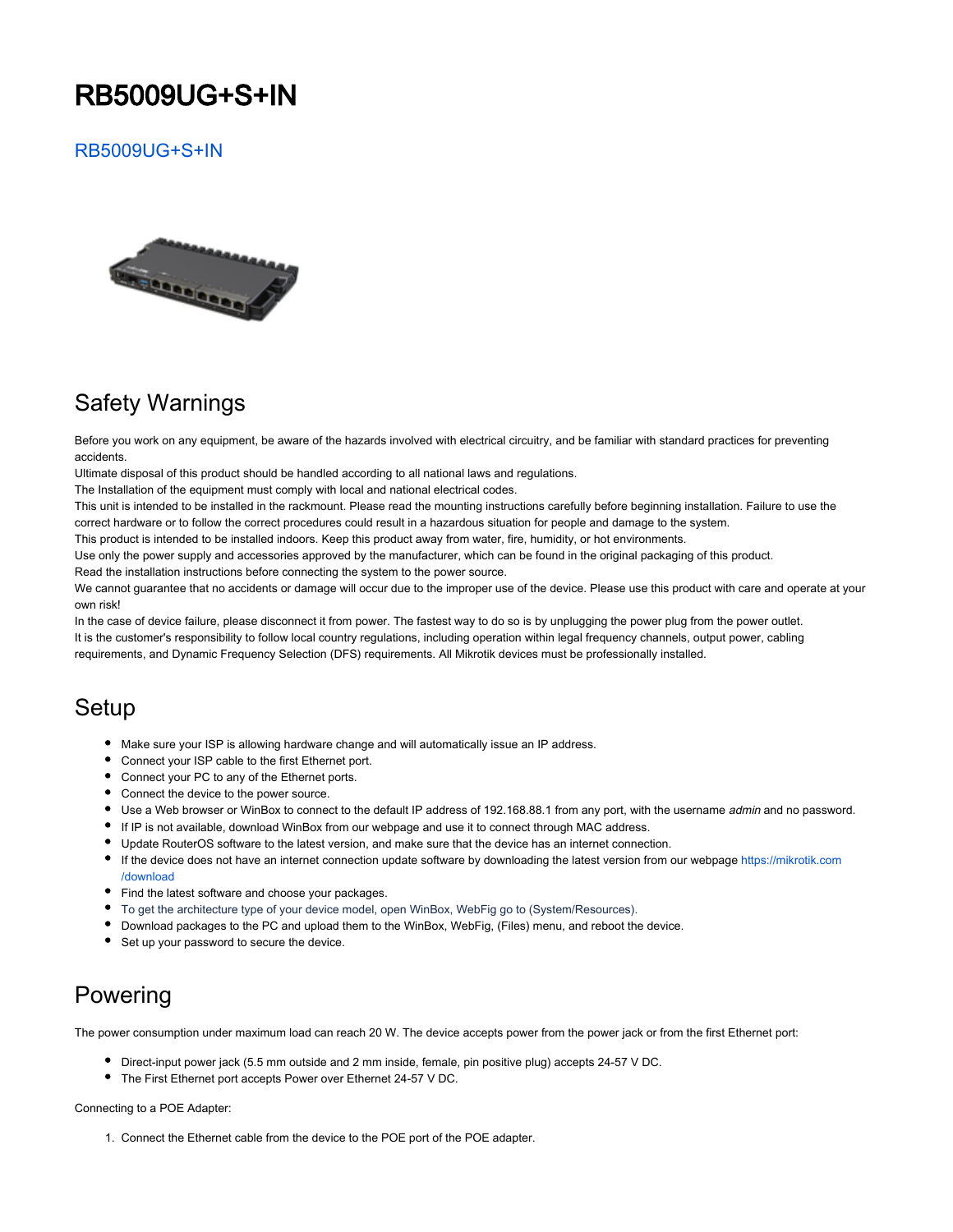# RB5009UG+S+IN

#### [RB5009UG+S+IN](https://mikrotik.com/product/rb5009ug_s_in)



## Safety Warnings

Before you work on any equipment, be aware of the hazards involved with electrical circuitry, and be familiar with standard practices for preventing accidents.

Ultimate disposal of this product should be handled according to all national laws and regulations.

The Installation of the equipment must comply with local and national electrical codes.

This unit is intended to be installed in the rackmount. Please read the mounting instructions carefully before beginning installation. Failure to use the correct hardware or to follow the correct procedures could result in a hazardous situation for people and damage to the system.

This product is intended to be installed indoors. Keep this product away from water, fire, humidity, or hot environments.

Use only the power supply and accessories approved by the manufacturer, which can be found in the original packaging of this product. Read the installation instructions before connecting the system to the power source.

We cannot guarantee that no accidents or damage will occur due to the improper use of the device. Please use this product with care and operate at your own risk!

In the case of device failure, please disconnect it from power. The fastest way to do so is by unplugging the power plug from the power outlet. It is the customer's responsibility to follow local country regulations, including operation within legal frequency channels, output power, cabling requirements, and Dynamic Frequency Selection (DFS) requirements. All Mikrotik devices must be professionally installed.

#### **Setup**

- Make sure your ISP is allowing hardware change and will automatically issue an IP address.
- Connect your ISP cable to the first Ethernet port.
- Connect your PC to any of the Ethernet ports.
- Connect the device to the power source.
- Use a Web browser or WinBox to connect to the default IP address of 192.168.88.1 from any port, with the username *admin* and no password.
- If IP is not available, download WinBox from our webpage and use it to connect through MAC address.
- Update RouterOS software to the latest version, and make sure that the device has an internet connection.
- If the device does not have an internet connection update software by downloading the latest version from our webpage [https://mikrotik.com](https://mikrotik.com/download) [/download](https://mikrotik.com/download)
- Find the latest software and choose your packages.
- To get the architecture type of your device model, open WinBox, WebFig go to (System/Resources).
- Download packages to the PC and upload them to the WinBox, WebFig, (Files) menu, and reboot the device.
- **Set up your password to secure the device.**

## Powering

The power consumption under maximum load can reach 20 W. The device accepts power from the power jack or from the first Ethernet port:

- Direct-input power jack (5.5 mm outside and 2 mm inside, female, pin positive plug) accepts 24-57 V DC.
- The First Ethernet port accepts Power over Ethernet 24-57 V DC.

Connecting to a POE Adapter:

1. Connect the Ethernet cable from the device to the POE port of the POE adapter.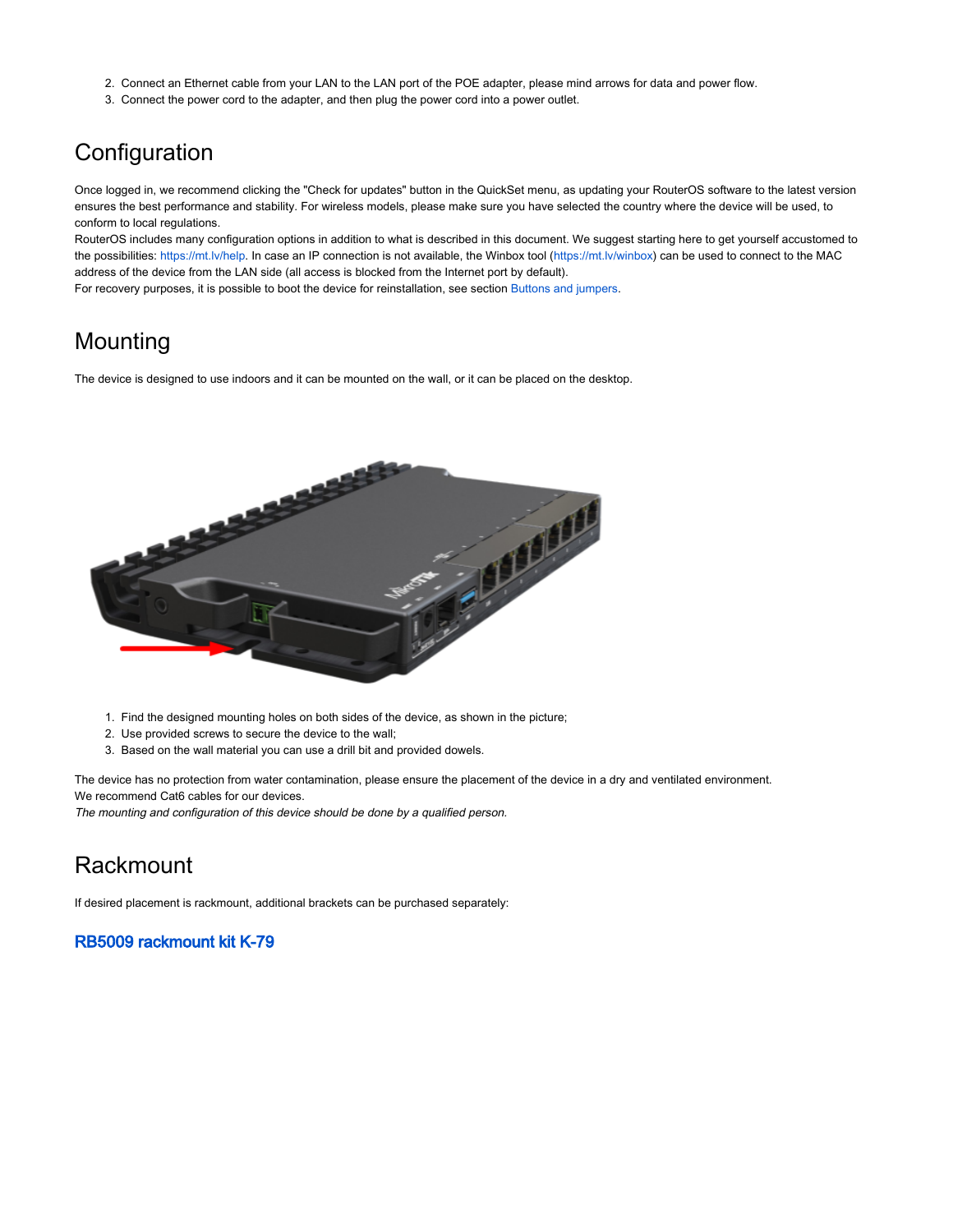- 2. Connect an Ethernet cable from your LAN to the LAN port of the POE adapter, please mind arrows for data and power flow.
- 3. Connect the power cord to the adapter, and then plug the power cord into a power outlet.

## **Configuration**

Once logged in, we recommend clicking the "Check for updates" button in the QuickSet menu, as updating your RouterOS software to the latest version ensures the best performance and stability. For wireless models, please make sure you have selected the country where the device will be used, to conform to local regulations.

RouterOS includes many configuration options in addition to what is described in this document. We suggest starting here to get yourself accustomed to the possibilities: [https://mt.lv/help.](https://mt.lv/help) In case an IP connection is not available, the Winbox tool ([https://mt.lv/winbox\)](https://mt.lv/winbox) can be used to connect to the MAC address of the device from the LAN side (all access is blocked from the Internet port by default).

For recovery purposes, it is possible to boot the device for reinstallation, see section [Buttons and jumpers](#page-2-0).

### Mounting

The device is designed to use indoors and it can be mounted on the wall, or it can be placed on the desktop.



- 1. Find the designed mounting holes on both sides of the device, as shown in the picture;
- 2. Use provided screws to secure the device to the wall;
- 3. Based on the wall material you can use a drill bit and provided dowels.

The device has no protection from water contamination, please ensure the placement of the device in a dry and ventilated environment. We recommend Cat6 cables for our devices.

The mounting and configuration of this device should be done by a qualified person.

#### **Rackmount**

If desired placement is rackmount, additional brackets can be purchased separately:

#### [RB5009 rackmount kit K-79](https://mikrotik.com/product/rb5009_mount)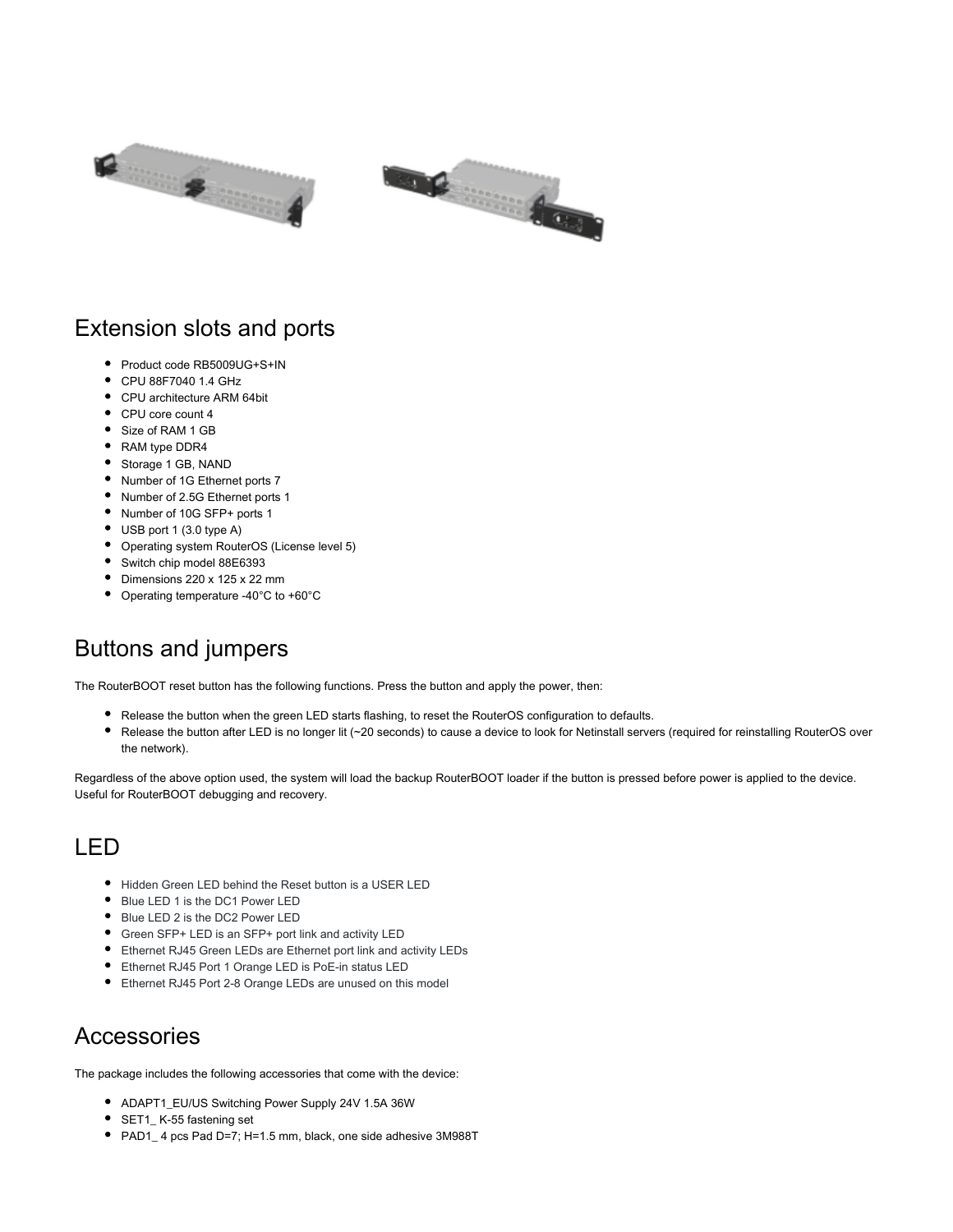



### Extension slots and ports

- Product code RB5009UG+S+IN
- CPU 88F7040 1.4 GHz
- CPU architecture ARM 64bit
- CPU core count 4
- Size of RAM 1 GB
- RAM type DDR4
- Storage 1 GB, NAND
- Number of 1G Ethernet ports 7
- Number of 2.5G Ethernet ports 1
- Number of 10G SFP+ ports 1
- USB port 1 (3.0 type A)
- Operating system RouterOS (License level 5)
- Switch chip model 88E6393
- Dimensions 220 x 125 x 22 mm
- Operating temperature -40°C to +60°C

## <span id="page-2-0"></span>Buttons and jumpers

The RouterBOOT reset button has the following functions. Press the button and apply the power, then:

- Release the button when the green LED starts flashing, to reset the RouterOS configuration to defaults.
- ٠ Release the button after LED is no longer lit (~20 seconds) to cause a device to look for Netinstall servers (required for reinstalling RouterOS over the network).

Regardless of the above option used, the system will load the backup RouterBOOT loader if the button is pressed before power is applied to the device. Useful for RouterBOOT debugging and recovery.

#### LED

- Hidden Green LED behind the Reset button is a USER LED
- Blue LED 1 is the DC1 Power LED
- Blue LED 2 is the DC2 Power LED
- Green SFP+ LED is an SFP+ port link and activity LED
- Ethernet RJ45 Green LEDs are Ethernet port link and activity LEDs
- Ethernet RJ45 Port 1 Orange LED is PoE-in status LED
- Ethernet RJ45 Port 2-8 Orange LEDs are unused on this model

#### **Accessories**

The package includes the following accessories that come with the device:

- ADAPT1\_EU/US Switching Power Supply 24V 1.5A 36W
- **SET1\_K-55 fastening set**
- PAD1\_ 4 pcs Pad D=7; H=1.5 mm, black, one side adhesive 3M988T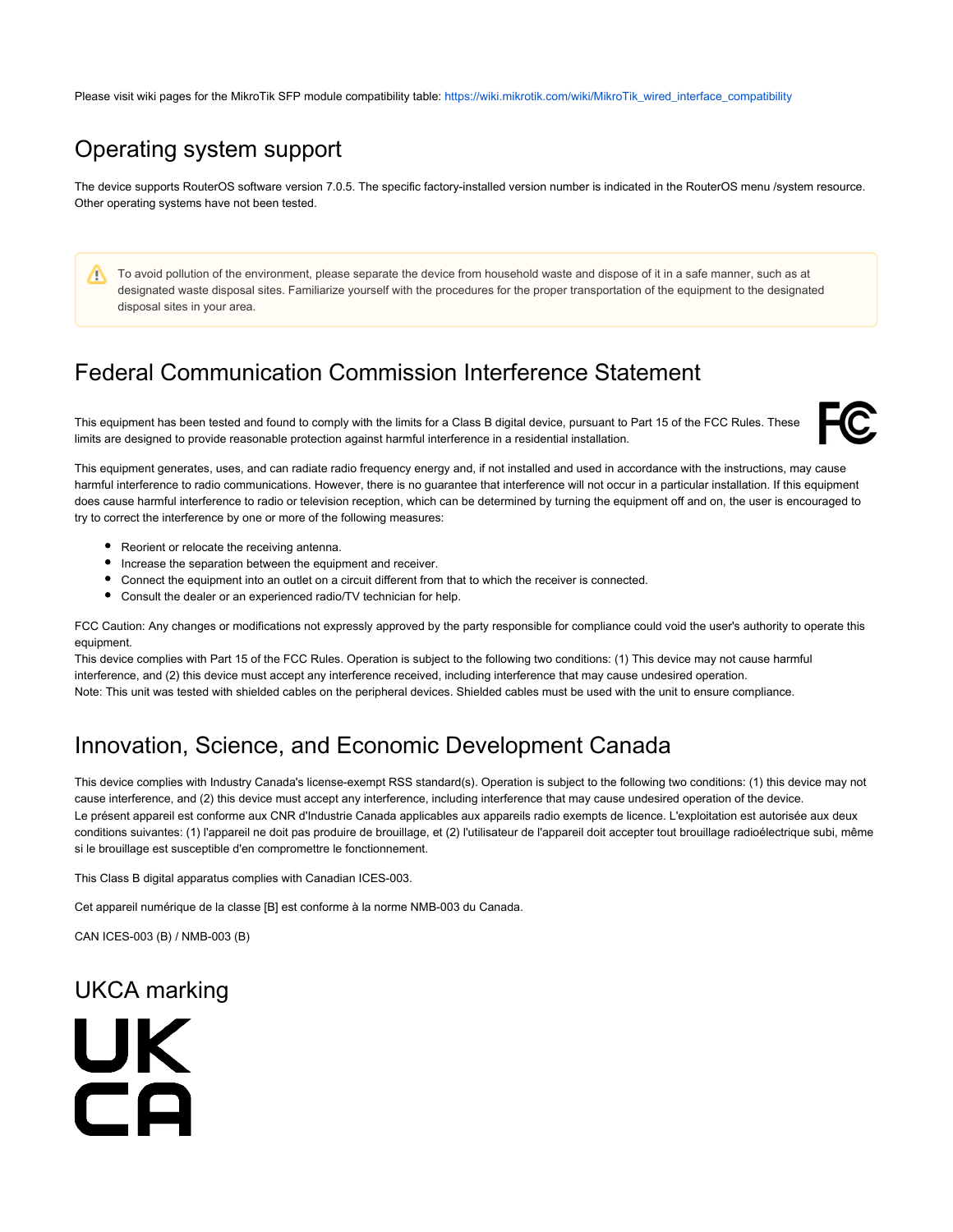Please visit wiki pages for the MikroTik SFP module compatibility table: [https://wiki.mikrotik.com/wiki/MikroTik\\_wired\\_interface\\_compatibility](https://wiki.mikrotik.com/wiki/MikroTik_wired_interface_compatibility)

## Operating system support

The device supports RouterOS software version 7.0.5. The specific factory-installed version number is indicated in the RouterOS menu /system resource. Other operating systems have not been tested.

To avoid pollution of the environment, please separate the device from household waste and dispose of it in a safe manner, such as at Δ designated waste disposal sites. Familiarize yourself with the procedures for the proper transportation of the equipment to the designated disposal sites in your area.

## Federal Communication Commission Interference Statement

This equipment has been tested and found to comply with the limits for a Class B digital device, pursuant to Part 15 of the FCC Rules. These limits are designed to provide reasonable protection against harmful interference in a residential installation.



This equipment generates, uses, and can radiate radio frequency energy and, if not installed and used in accordance with the instructions, may cause harmful interference to radio communications. However, there is no quarantee that interference will not occur in a particular installation. If this equipment does cause harmful interference to radio or television reception, which can be determined by turning the equipment off and on, the user is encouraged to try to correct the interference by one or more of the following measures:

- Reorient or relocate the receiving antenna.
- Increase the separation between the equipment and receiver.
- Connect the equipment into an outlet on a circuit different from that to which the receiver is connected.
- Consult the dealer or an experienced radio/TV technician for help.

FCC Caution: Any changes or modifications not expressly approved by the party responsible for compliance could void the user's authority to operate this equipment.

This device complies with Part 15 of the FCC Rules. Operation is subject to the following two conditions: (1) This device may not cause harmful interference, and (2) this device must accept any interference received, including interference that may cause undesired operation. Note: This unit was tested with shielded cables on the peripheral devices. Shielded cables must be used with the unit to ensure compliance.

## Innovation, Science, and Economic Development Canada

This device complies with Industry Canada's license-exempt RSS standard(s). Operation is subject to the following two conditions: (1) this device may not cause interference, and (2) this device must accept any interference, including interference that may cause undesired operation of the device. Le présent appareil est conforme aux CNR d'Industrie Canada applicables aux appareils radio exempts de licence. L'exploitation est autorisée aux deux conditions suivantes: (1) l'appareil ne doit pas produire de brouillage, et (2) l'utilisateur de l'appareil doit accepter tout brouillage radioélectrique subi, même si le brouillage est susceptible d'en compromettre le fonctionnement.

This Class B digital apparatus complies with Canadian ICES-003.

Cet appareil numérique de la classe [B] est conforme à la norme NMB-003 du Canada.

CAN ICES-003 (B) / NMB-003 (B)

## UKCA marking

UK CA